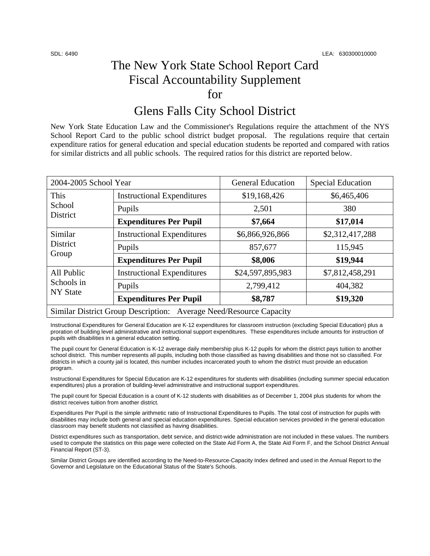## The New York State School Report Card Fiscal Accountability Supplement for

### Glens Falls City School District

New York State Education Law and the Commissioner's Regulations require the attachment of the NYS School Report Card to the public school district budget proposal. The regulations require that certain expenditure ratios for general education and special education students be reported and compared with ratios for similar districts and all public schools. The required ratios for this district are reported below.

| 2004-2005 School Year                                              |                                   | <b>General Education</b> | <b>Special Education</b> |  |  |
|--------------------------------------------------------------------|-----------------------------------|--------------------------|--------------------------|--|--|
| This<br>School<br>District                                         | <b>Instructional Expenditures</b> | \$19,168,426             | \$6,465,406              |  |  |
|                                                                    | Pupils                            | 2,501                    | 380                      |  |  |
|                                                                    | <b>Expenditures Per Pupil</b>     | \$7,664                  | \$17,014                 |  |  |
| Similar<br>District<br>Group                                       | <b>Instructional Expenditures</b> | \$6,866,926,866          | \$2,312,417,288          |  |  |
|                                                                    | Pupils                            | 857,677                  | 115,945                  |  |  |
|                                                                    | <b>Expenditures Per Pupil</b>     | \$8,006                  | \$19,944                 |  |  |
| All Public<br>Schools in<br><b>NY</b> State                        | <b>Instructional Expenditures</b> | \$24,597,895,983         | \$7,812,458,291          |  |  |
|                                                                    | Pupils                            | 2,799,412                | 404,382                  |  |  |
|                                                                    | <b>Expenditures Per Pupil</b>     | \$8,787                  | \$19,320                 |  |  |
| Similar District Group Description: Average Need/Resource Capacity |                                   |                          |                          |  |  |

Instructional Expenditures for General Education are K-12 expenditures for classroom instruction (excluding Special Education) plus a proration of building level administrative and instructional support expenditures. These expenditures include amounts for instruction of pupils with disabilities in a general education setting.

The pupil count for General Education is K-12 average daily membership plus K-12 pupils for whom the district pays tuition to another school district. This number represents all pupils, including both those classified as having disabilities and those not so classified. For districts in which a county jail is located, this number includes incarcerated youth to whom the district must provide an education program.

Instructional Expenditures for Special Education are K-12 expenditures for students with disabilities (including summer special education expenditures) plus a proration of building-level administrative and instructional support expenditures.

The pupil count for Special Education is a count of K-12 students with disabilities as of December 1, 2004 plus students for whom the district receives tuition from another district.

Expenditures Per Pupil is the simple arithmetic ratio of Instructional Expenditures to Pupils. The total cost of instruction for pupils with disabilities may include both general and special education expenditures. Special education services provided in the general education classroom may benefit students not classified as having disabilities.

District expenditures such as transportation, debt service, and district-wide administration are not included in these values. The numbers used to compute the statistics on this page were collected on the State Aid Form A, the State Aid Form F, and the School District Annual Financial Report (ST-3).

Similar District Groups are identified according to the Need-to-Resource-Capacity Index defined and used in the Annual Report to the Governor and Legislature on the Educational Status of the State's Schools.